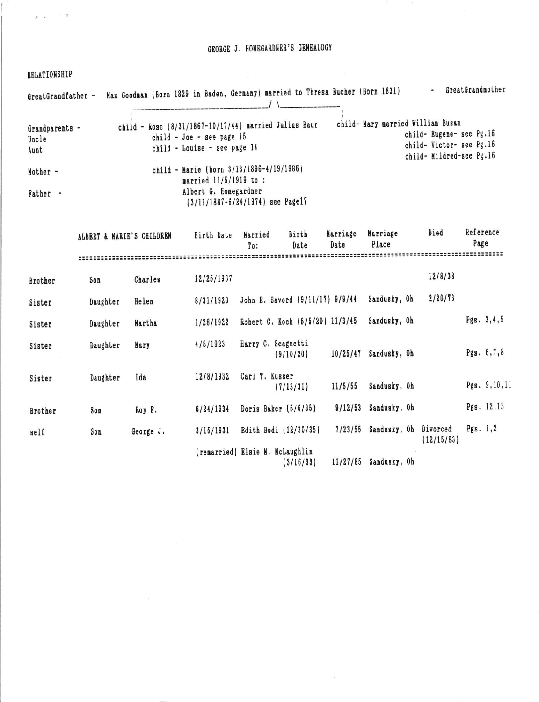## GEORGE J. HOMEGARDNER'S GENEALOGY

RELATIONSHIP

| GreatGrandfather -              | Max Goodman (Born 1829 in Baden, Germany) married to Thresa Bucher (Born 1831)                                     |                                   | GreatGrandmother                                                                 |
|---------------------------------|--------------------------------------------------------------------------------------------------------------------|-----------------------------------|----------------------------------------------------------------------------------|
| Grandparents -<br>Uncle<br>Aunt | child - Rose (8/31/1867-10/17/44) married Julius Baur<br>child - Joe - see page 15<br>child - Louise - see page 14 | child- Mary married William Busam | child- Eugene- see Pg.16<br>child- Victor- see Pg.16<br>child- Mildred-see Pg.16 |
| Mother -                        | child - Marie (born 3/13/1896-4/19/1986)<br>married 11/5/1919 to :                                                 |                                   |                                                                                  |
| Father                          | Albert G. Homegardner<br>$(3/11/1887 - 6/24/1974)$ see Page17                                                      |                                   |                                                                                  |

|         | ALBERT & MARIE'S CHILDREN |           | Birth Date | Married<br>To:                  | Birth<br>Date                   | Marriage<br>Date | Marriage<br>Place | Died                   | Reference<br>Page |                  |
|---------|---------------------------|-----------|------------|---------------------------------|---------------------------------|------------------|-------------------|------------------------|-------------------|------------------|
|         |                           |           |            |                                 |                                 |                  |                   |                        |                   |                  |
| Brother | Son                       | Charles   | 12/25/1937 |                                 |                                 |                  |                   | 12/8/38                |                   |                  |
| Sister  | Daughter                  | Helen     | 8/31/1920  |                                 | John E. Savord (9/11/17) 9/9/44 |                  | Sandusky, Oh      | 2/20/73                |                   |                  |
| Sister  | Daughter                  | Martha    | 1/28/1922  |                                 | Robert C. Koch (5/5/20) 11/3/45 |                  | Sandusky, Oh      |                        | Pgs. 3, 4, 5      |                  |
| Sister  | Daughter                  | Mary      | 4/8/1923   | Harry C. Scagnetti              | (9/10/20)                       | 10/25/47         | Sandusky, Oh      |                        | Pgs. $6,7,8$      |                  |
| Sister  | Daughter                  | Ida       | 12/8/1932  | Carl T. Kusser                  | (7/13/31)                       | 11/5/55          | Sandusky, Oh      |                        |                   | Pgs. $9, 10, 11$ |
| Brother | Son                       | Roy F.    | 6/24/1934  |                                 | Doris Baker $(5/6/35)$          | 9/12/53          | Sandusky, Oh      |                        | Pgs. $12,13$      |                  |
| self    | Son                       | George J. | 3/15/1931  |                                 | Edith Bodi (12/30/35)           | 7/23/55          | Sandusky, Oh      | Divorced<br>(12/15/83) | Pgs. $1,2$        |                  |
|         |                           |           |            | (remarried) Elsie M. McLaughlin | (3/16/33)                       | 11/27/85         | Sandusky, Oh      |                        |                   |                  |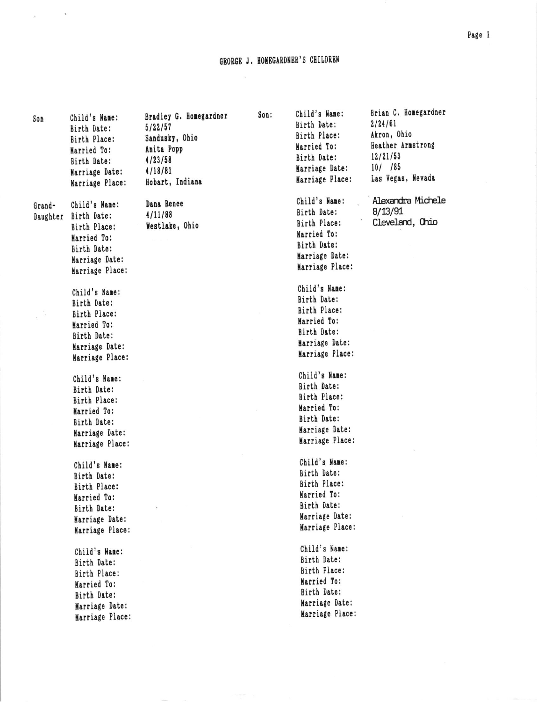## GEORGE J. HOMEGARDNER'S CHILDREN

 $\bar{\alpha}$ 

 $\chi$  and  $\chi$ 

| Son                | Child's Name:<br>Birth Date:<br>Birth Place:<br>Married To:<br>Birth Date:                                      | Bradley G. Homegardner<br>5/22/57<br>Sandusky, Ohio<br>Anita Popp<br>4/23/58 | Son: | Child's Name:<br>Birth Date:<br>Birth Place:<br>Married To:<br>Birth Date:                                      | Brian C. Homegardner<br>2/24/61<br>Akron, Ohio<br>Heather Armstrong<br>12/21/53 |
|--------------------|-----------------------------------------------------------------------------------------------------------------|------------------------------------------------------------------------------|------|-----------------------------------------------------------------------------------------------------------------|---------------------------------------------------------------------------------|
|                    | Marriage Date:<br>Marriage Place:                                                                               | 4/18/81<br>Hobart, Indiana                                                   |      | Marriage Date:<br>Marriage Place:                                                                               | $10/$ /85<br>Las Vegas, Nevada                                                  |
| Grand-<br>Daughter | Child's Name:<br>Birth Date:<br>Birth Place:<br>Married To:<br>Birth Date:<br>Marriage Date:<br>Marriage Place: | Dana Renee<br>4/11/88<br>Westlake, Ohio                                      |      | Child's Name:<br>Birth Date:<br>Birth Place:<br>Married To:<br>Birth Date:<br>Marriage Date:<br>Marriage Place: | Alexandra Michele<br>8/13/91<br>Cleveland, Ohio                                 |
|                    | Child's Name:<br>Birth Date:<br>Birth Place:<br>Married To:<br>Birth Date:<br>Marriage Date:<br>Marriage Place: |                                                                              |      | Child's Name:<br>Birth Date:<br>Birth Place:<br>Married To:<br>Birth Date:<br>Marriage Date:<br>Marriage Place: |                                                                                 |
|                    | Child's Name:<br>Birth Date:<br>Birth Place:<br>Married To:<br>Birth Date:<br>Marriage Date:<br>Marriage Place: |                                                                              |      | Child's Name:<br>Birth Date:<br>Birth Place:<br>Married To:<br>Birth Date:<br>Marriage Date:<br>Marriage Place: |                                                                                 |
|                    | Child's Name:<br>Birth Date:<br>Birth Place:<br>Married To:<br>Birth Date:<br>Marriage Date:<br>Marriage Place: |                                                                              |      | Child's Name:<br>Birth Date:<br>Birth Place:<br>Married To:<br>Birth Date:<br>Marriage Date:<br>Marriage Place: |                                                                                 |
|                    | Child's Name:<br>Birth Date:<br>Birth Place:<br>Married To:<br>Birth Date:<br>Marriage Date:<br>Marriage Place: |                                                                              |      | Child's Name:<br>Birth Date:<br>Birth Place:<br>Married To:<br>Birth Date:<br>Marriage Date:<br>Marriage Place: |                                                                                 |

Page 1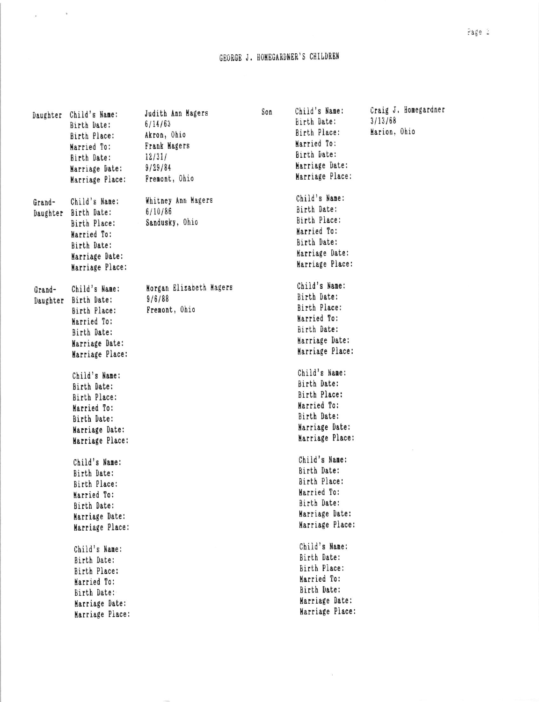## GEORGE J. HOMEGARDNER'S CHILDREN

 $\chi$  and  $\chi$ 

|                    | Daughter Child's Name:<br>Birth Date:<br>Birth Place:<br>Married To:<br>Birth Date:<br>Marriage Date:<br>Marriage Place: | Judith Ann Magers<br>6/14/63<br>Akron, Ohio<br>Frank Magers<br>12/31/<br>9/29/84<br>Fremont, Ohio | Son | Child's Name:<br>Birth Date:<br>Birth Place:<br>Married To:<br>Birth Date:<br>Marriage Date:<br>Marriage Place: | Craig J. Homegardner<br>3/13/68<br>Marion, Ohio |
|--------------------|--------------------------------------------------------------------------------------------------------------------------|---------------------------------------------------------------------------------------------------|-----|-----------------------------------------------------------------------------------------------------------------|-------------------------------------------------|
| Grand-<br>Daughter | Child's Name:<br>Birth Date:<br>Birth Place:<br>Married To:<br>Birth Date:<br>Marriage Date:<br>Marriage Place:          | Whitney Ann Magers<br>6/10/86<br>Sandusky, Ohio                                                   |     | Child's Name:<br>Birth Date:<br>Birth Place:<br>Married To:<br>Birth Date:<br>Marriage Date:<br>Marriage Place: |                                                 |
| Grand-<br>Daughter | Child's Name:<br>Birth Date:<br>Birth Place:<br>Married To:<br>Birth Date:<br>Marriage Date:<br>Marriage Place:          | Morgan Elizabeth Magers<br>9/6/88<br>Fremont, Ohio                                                |     | Child's Name:<br>Birth Date:<br>Birth Place:<br>Married To:<br>Birth Date:<br>Marriage Date:<br>Marriage Place: |                                                 |
|                    | Child's Name:<br>Birth Date:<br>Birth Place:<br>Married To:<br>Birth Date:<br>Marriage Date:<br>Marriage Place:          |                                                                                                   |     | Child's Name:<br>Birth Date:<br>Birth Place:<br>Married To:<br>Birth Date:<br>Marriage Date:<br>Marriage Place: |                                                 |
|                    | Child's Name:<br>Birth Date:<br>Birth Place:<br>Married To:<br>Birth Date:<br>Marriage Date:<br>Marriage Place:          |                                                                                                   |     | Child's Name:<br>Birth Date:<br>Birth Place:<br>Married To:<br>Birth Date:<br>Marriage Date:<br>Marriage Place: |                                                 |
|                    | Child's Name:<br>Birth Date:<br>Birth Place:<br>Married To:<br>Birth Date:<br>Marriage Date:<br>Marriage Place:          |                                                                                                   |     | Child's Name:<br>Birth Date:<br>Birth Place:<br>Married To:<br>Birth Date:<br>Marriage Date:<br>Marriage Place: |                                                 |